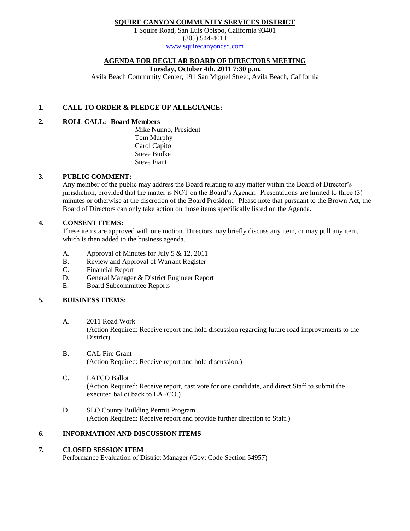# **SQUIRE CANYON COMMUNITY SERVICES DISTRICT**

1 Squire Road, San Luis Obispo, California 93401 (805) 544-4011 [www.squirecanyoncsd.com](http://www.squirecanyoncsd.com/)

#### **AGENDA FOR REGULAR BOARD OF DIRECTORS MEETING**

**Tuesday, October 4th, 2011 7:30 p.m.**

Avila Beach Community Center, 191 San Miguel Street, Avila Beach, California

## **1. CALL TO ORDER & PLEDGE OF ALLEGIANCE:**

# **2. ROLL CALL: Board Members**

Mike Nunno, President Tom Murphy Carol Capito Steve Budke Steve Fiant

#### **3. PUBLIC COMMENT:**

Any member of the public may address the Board relating to any matter within the Board of Director's jurisdiction, provided that the matter is NOT on the Board's Agenda. Presentations are limited to three (3) minutes or otherwise at the discretion of the Board President. Please note that pursuant to the Brown Act, the Board of Directors can only take action on those items specifically listed on the Agenda.

### **4. CONSENT ITEMS:**

These items are approved with one motion. Directors may briefly discuss any item, or may pull any item, which is then added to the business agenda.

- A. Approval of Minutes for July 5 & 12, 2011
- B. Review and Approval of Warrant Register
- C. Financial Report
- D. General Manager & District Engineer Report
- E. Board Subcommittee Reports

# **5. BUISINESS ITEMS:**

- A. 2011 Road Work (Action Required: Receive report and hold discussion regarding future road improvements to the District)
- B. CAL Fire Grant (Action Required: Receive report and hold discussion.)
- C. LAFCO Ballot (Action Required: Receive report, cast vote for one candidate, and direct Staff to submit the executed ballot back to LAFCO.)
- D. SLO County Building Permit Program (Action Required: Receive report and provide further direction to Staff.)

# **6. INFORMATION AND DISCUSSION ITEMS**

#### **7. CLOSED SESSION ITEM**

Performance Evaluation of District Manager (Govt Code Section 54957)